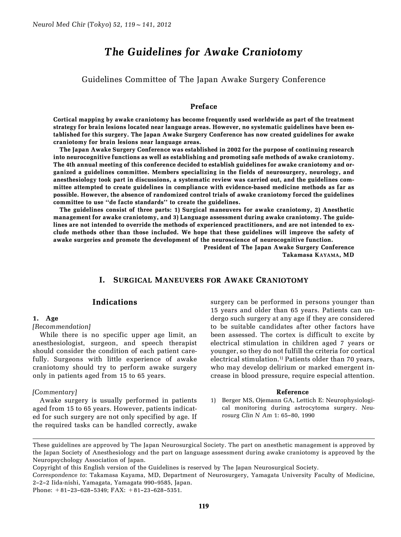# The Guidelines for Awake Craniotomy

Guidelines Committee of The Japan Awake Surgery Conference

## Preface

Cortical mapping by awake craniotomy has become frequently used worldwide as part of the treatment strategy for brain lesions located near language areas. However, no systematic guidelines have been established for this surgery. The Japan Awake Surgery Conference has now created guidelines for awake craniotomy for brain lesions near language areas.

The Japan Awake Surgery Conference was established in 2002 for the purpose of continuing research into neurocognitive functions as well as establishing and promoting safe methods of awake craniotomy. The 4th annual meeting of this conference decided to establish guidelines for awake craniotomy and organized a guidelines committee. Members specializing in the fields of neurosurgery, neurology, and anesthesiology took part in discussions, a systematic review was carried out, and the guidelines committee attempted to create guidelines in compliance with evidence-based medicine methods as far as possible. However, the absence of randomized control trials of awake craniotomy forced the guidelines committee to use "de facto standards" to create the guidelines.

The guidelines consist of three parts: 1) Surgical maneuvers for awake craniotomy, 2) Anesthetic management for awake craniotomy, and 3) Language assessment during awake craniotomy. The guidelines are not intended to override the methods of experienced practitioners, and are not intended to exclude methods other than those included. We hope that these guidelines will improve the safety of awake surgeries and promote the development of the neuroscience of neurocognitive function.

President of The Japan Awake Surgery Conference Takamasa KAYAMA, MD

## I. SURGICAL MANEUVERS FOR AWAKE CRANIOTOMY

## Indications

#### 1. Age

#### [Recommendation]

While there is no specific upper age limit, an anesthesiologist, surgeon, and speech therapist should consider the condition of each patient carefully. Surgeons with little experience of awake craniotomy should try to perform awake surgery only in patients aged from 15 to 65 years.

#### [Commentary]

Awake surgery is usually performed in patients aged from 15 to 65 years. However, patients indicated for such surgery are not only specified by age. If the required tasks can be handled correctly, awake surgery can be performed in persons younger than 15 years and older than 65 years. Patients can undergo such surgery at any age if they are considered to be suitable candidates after other factors have been assessed. The cortex is difficult to excite by electrical stimulation in children aged 7 years or younger, so they do not fulfill the criteria for cortical electrical stimulation.<sup>1)</sup> Patients older than 70 years, who may develop delirium or marked emergent increase in blood pressure, require especial attention.

#### Reference

1) Berger MS, Ojemann GA, Lettich E: Neurophysiological monitoring during astrocytoma surgery. Neurosurg Clin N Am 1: 65–80, 1990

Copyright of this English version of the Guidelines is reserved by The Japan Neurosurgical Society.

Correspondence to: Takamasa Kayama, MD, Department of Neurosurgery, Yamagata University Faculty of Medicine, 2–2–2 Iida-nishi, Yamagata, Yamagata 990–9585, Japan.

Phone: +81–23–628–5349; FAX: +81–23–628–5351.

These guidelines are approved by The Japan Neurosurgical Society. The part on anesthetic management is approved by the Japan Society of Anesthesiology and the part on language assessment during awake craniotomy is approved by the Neuropsychology Association of Japan.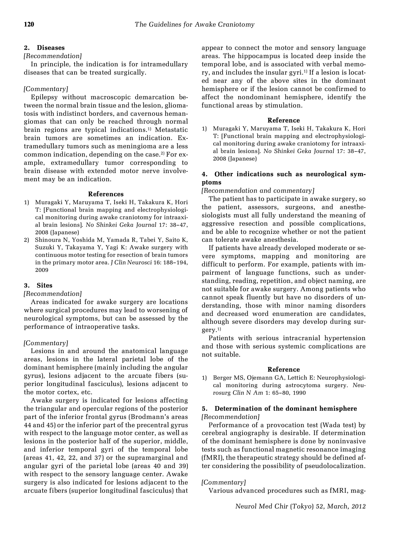## 2. Diseases

## [Recommendation]

In principle, the indication is for intramedullary diseases that can be treated surgically.

## [Commentary]

Epilepsy without macroscopic demarcation between the normal brain tissue and the lesion, gliomatosis with indistinct borders, and cavernous hemangiomas that can only be reached through normal brain regions are typical indications.<sup>1)</sup> Metastatic brain tumors are sometimes an indication. Extramedullary tumors such as meningioma are a less common indication, depending on the case.<sup>2)</sup> For example, extramedullary tumor corresponding to brain disease with extended motor nerve involvement may be an indication.

#### References

- 1) Muragaki Y, Maruyama T, Iseki H, Takakura K, Hori T: [Functional brain mapping and electrophysiological monitoring during awake craniotomy for intraaxial brain lesions]. No Shinkei Geka Journal 17: 38–47, 2008 (Japanese)
- 2) Shinoura N, Yoshida M, Yamada R, Tabei Y, Saito K, Suzuki Y, Takayama Y, Yagi K: Awake surgery with continuous motor testing for resection of brain tumors in the primary motor area. J Clin Neurosci 16: 188–194, 2009

## 3. Sites

## [Recommendation]

Areas indicated for awake surgery are locations where surgical procedures may lead to worsening of neurological symptoms, but can be assessed by the performance of intraoperative tasks.

## [Commentary]

Lesions in and around the anatomical language areas, lesions in the lateral parietal lobe of the dominant hemisphere (mainly including the angular gyrus), lesions adjacent to the arcuate fibers (superior longitudinal fasciculus), lesions adjacent to the motor cortex, etc.

Awake surgery is indicated for lesions affecting the triangular and opercular regions of the posterior part of the inferior frontal gyrus (Brodmann's areas 44 and 45) or the inferior part of the precentral gyrus with respect to the language motor center, as well as lesions in the posterior half of the superior, middle, and inferior temporal gyri of the temporal lobe (areas 41, 42, 22, and 37) or the supramarginal and angular gyri of the parietal lobe (areas 40 and 39) with respect to the sensory language center. Awake surgery is also indicated for lesions adjacent to the arcuate fibers (superior longitudinal fasciculus) that appear to connect the motor and sensory language areas. The hippocampus is located deep inside the temporal lobe, and is associated with verbal memory, and includes the insular gyri.<sup>1)</sup> If a lesion is located near any of the above sites in the dominant hemisphere or if the lesion cannot be confirmed to affect the nondominant hemisphere, identify the functional areas by stimulation.

## Reference

1) Muragaki Y, Maruyama T, Iseki H, Takakura K, Hori T: [Functional brain mapping and electrophysiological monitoring during awake craniotomy for intraaxial brain lesions]. No Shinkei Geka Journal 17: 38–47, 2008 (Japanese)

## 4. Other indications such as neurological symptoms

[Recommendation and commentary]

The patient has to participate in awake surgery, so the patient, assessors, surgeons, and anesthesiologists must all fully understand the meaning of aggressive resection and possible complications, and be able to recognize whether or not the patient can tolerate awake anesthesia.

If patients have already developed moderate or severe symptoms, mapping and monitoring are difficult to perform. For example, patients with impairment of language functions, such as understanding, reading, repetition, and object naming, are not suitable for awake surgery. Among patients who cannot speak fluently but have no disorders of understanding, those with minor naming disorders and decreased word enumeration are candidates, although severe disorders may develop during surgery.1)

Patients with serious intracranial hypertension and those with serious systemic complications are not suitable.

## Reference

1) Berger MS, Ojemann GA, Lettich E: Neurophysiological monitoring during astrocytoma surgery. Neurosurg Clin N Am 1: 65–80, 1990

## 5. Determination of the dominant hemisphere [Recommendation]

Performance of a provocation test (Wada test) by cerebral angiography is desirable. If determination of the dominant hemisphere is done by noninvasive tests such as functional magnetic resonance imaging (fMRI), the therapeutic strategy should be defined after considering the possibility of pseudolocalization.

## [Commentary]

Various advanced procedures such as fMRI, mag-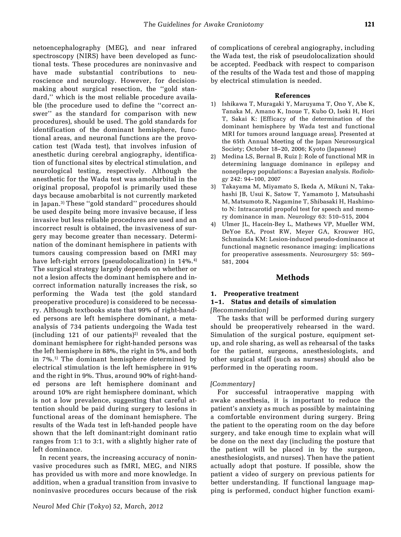netoencephalography (MEG), and near infrared spectroscopy (NIRS) have been developed as functional tests. These procedures are noninvasive and have made substantial contributions to neuroscience and neurology. However, for decisionmaking about surgical resection, the "gold standard,'' which is the most reliable procedure available (the procedure used to define the "correct answer'' as the standard for comparison with new procedures), should be used. The gold standards for identification of the dominant hemisphere, functional areas, and neuronal functions are the provocation test (Wada test), that involves infusion of anesthetic during cerebral angiography, identification of functional sites by electrical stimulation, and neurological testing, respectively. Although the anesthetic for the Wada test was amobarbital in the original proposal, propofol is primarily used these days because amobarbital is not currently marketed in Japan.3) These ``gold standard'' procedures should be used despite being more invasive because, if less invasive but less reliable procedures are used and an incorrect result is obtained, the invasiveness of surgery may become greater than necessary. Determination of the dominant hemisphere in patients with tumors causing compression based on fMRI may have left-right errors (pseudolocalization) in 14%.<sup>4)</sup> The surgical strategy largely depends on whether or not a lesion affects the dominant hemisphere and incorrect information naturally increases the risk, so performing the Wada test (the gold standard preoperative procedure) is considered to be necessary. Although textbooks state that 99% of right-handed persons are left hemisphere dominant, a metaanalysis of 734 patients undergoing the Wada test (including 121 of our patients)<sup>2)</sup> revealed that the dominant hemisphere for right-handed persons was the left hemisphere in 88%, the right in 5%, and both in 7%.1) The dominant hemisphere determined by electrical stimulation is the left hemisphere in 91% and the right in 9%. Thus, around 90% of right-handed persons are left hemisphere dominant and around 10% are right hemisphere dominant, which is not a low prevalence, suggesting that careful attention should be paid during surgery to lesions in functional areas of the dominant hemisphere. The results of the Wada test in left-handed people have shown that the left dominant:right dominant ratio ranges from 1:1 to 3:1, with a slightly higher rate of left dominance.

In recent years, the increasing accuracy of noninvasive procedures such as fMRI, MEG, and NIRS has provided us with more and more knowledge. In addition, when a gradual transition from invasive to noninvasive procedures occurs because of the risk of complications of cerebral angiography, including the Wada test, the risk of pseudolocalization should be accepted. Feedback with respect to comparison of the results of the Wada test and those of mapping by electrical stimulation is needed.

#### References

- 1) Ishikawa T, Muragaki Y, Maruyama T, Ono Y, Abe K, Tanaka M, Amano K, Inoue T, Kubo O, Iseki H, Hori T, Sakai K: [Efficacy of the determination of the dominant hemisphere by Wada test and functional MRI for tumors around language areas]. Presented at the 65th Annual Meeting of the Japan Neurosurgical Society; October 18–20, 2006; Kyoto (Japanese)
- 2) Medina LS, Bernal B, Ruiz J: Role of functional MR in determining language dominance in epilepsy and nonepilepsy populations: a Bayesian analysis. Radiology 242: 94–100, 2007
- 3) Takayama M, Miyamato S, Ikeda A, Mikuni N, Takahashi JB, Usui K, Satow T, Yamamoto J, Matsuhashi M, Matsumoto R, Nagamine T, Shibasaki H, Hashimoto N: Intracarotid propofol test for speech and memory dominance in man. Neurology 63: 510–515, 2004
- 4) Ulmer JL, Hacein-Bey L, Mathews VP, Mueller WM, DeYoe EA, Prost RW, Meyer GA, Krouwer HG, Schmainda KM: Lesion-induced pseudo-dominance at functional magnetic resonance imaging: implications for preoperative assessments. Neurosurgery 55: 569– 581, 2004

## Methods

## 1. Preoperative treatment

## 1–1. Status and details of simulation [Recommendation]

The tasks that will be performed during surgery should be preoperatively rehearsed in the ward. Simulation of the surgical posture, equipment setup, and role sharing, as well as rehearsal of the tasks for the patient, surgeons, anesthesiologists, and other surgical staff (such as nurses) should also be performed in the operating room.

## [Commentary]

For successful intraoperative mapping with awake anesthesia, it is important to reduce the patient's anxiety as much as possible by maintaining a comfortable environment during surgery. Bring the patient to the operating room on the day before surgery, and take enough time to explain what will be done on the next day (including the posture that the patient will be placed in by the surgeon, anesthesiologists, and nurses). Then have the patient actually adopt that posture. If possible, show the patient a video of surgery on previous patients for better understanding. If functional language mapping is performed, conduct higher function exami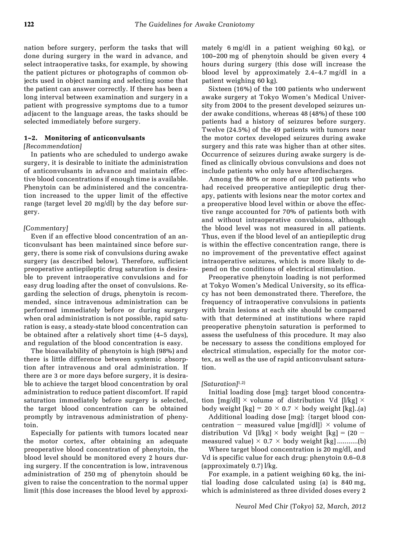nation before surgery, perform the tasks that will done during surgery in the ward in advance, and select intraoperative tasks, for example, by showing the patient pictures or photographs of common objects used in object naming and selecting some that the patient can answer correctly. If there has been a long interval between examination and surgery in a patient with progressive symptoms due to a tumor adjacent to the language areas, the tasks should be selected immediately before surgery.

#### 1–2. Monitoring of anticonvulsants

#### [Recommendation]

In patients who are scheduled to undergo awake surgery, it is desirable to initiate the administration of anticonvulsants in advance and maintain effective blood concentrations if enough time is available. Phenytoin can be administered and the concentration increased to the upper limit of the effective range (target level 20 mg/dl) by the day before surgery.

#### [Commentary]

Even if an effective blood concentration of an anticonvulsant has been maintained since before surgery, there is some risk of convulsions during awake surgery (as described below). Therefore, sufficient preoperative antiepileptic drug saturation is desirable to prevent intraoperative convulsions and for easy drug loading after the onset of convulsions. Regarding the selection of drugs, phenytoin is recommended, since intravenous administration can be performed immediately before or during surgery when oral administration is not possible, rapid saturation is easy, a steady-state blood concentration can be obtained after a relatively short time (4–5 days), and regulation of the blood concentration is easy.

The bioavailability of phenytoin is high (98%) and there is little difference between systemic absorption after intravenous and oral administration. If there are 3 or more days before surgery, it is desirable to achieve the target blood concentration by oral administration to reduce patient discomfort. If rapid saturation immediately before surgery is selected, the target blood concentration can be obtained promptly by intravenous administration of phenytoin.

Especially for patients with tumors located near the motor cortex, after obtaining an adequate preoperative blood concentration of phenytoin, the blood level should be monitored every 2 hours during surgery. If the concentration is low, intravenous administration of 250 mg of phenytoin should be given to raise the concentration to the normal upper limit (this dose increases the blood level by approximately 6 mg/dl in a patient weighing 60 kg), or 100–200 mg of phenytoin should be given every 4 hours during surgery (this dose will increase the blood level by approximately 2.4–4.7 mg/dl in a patient weighing 60 kg).

Sixteen (16%) of the 100 patients who underwent awake surgery at Tokyo Women's Medical University from 2004 to the present developed seizures under awake conditions, whereas 48 (48%) of these 100 patients had a history of seizures before surgery. Twelve (24.5%) of the 49 patients with tumors near the motor cortex developed seizures during awake surgery and this rate was higher than at other sites. Occurrence of seizures during awake surgery is defined as clinically obvious convulsions and does not include patients who only have afterdischarges.

Among the 80% or more of our 100 patients who had received preoperative antiepileptic drug therapy, patients with lesions near the motor cortex and a preoperative blood level within or above the effective range accounted for 70% of patients both with and without intraoperative convulsions, although the blood level was not measured in all patients. Thus, even if the blood level of an antiepileptic drug is within the effective concentration range, there is no improvement of the preventative effect against intraoperative seizures, which is more likely to depend on the conditions of electrical stimulation.

Preoperative phenytoin loading is not performed at Tokyo Women's Medical University, so its efficacy has not been demonstrated there. Therefore, the frequency of intraoperative convulsions in patients with brain lesions at each site should be compared with that determined at institutions where rapid preoperative phenytoin saturation is performed to assess the usefulness of this procedure. It may also be necessary to assess the conditions employed for electrical stimulation, especially for the motor cortex, as well as the use of rapid anticonvulsant saturation.

#### $[Saturation]^{1,2)}$

Initial loading dose [mg]: target blood concentration [mg/dl]  $\times$  volume of distribution Vd [l/kg]  $\times$ body weight  $[kg] = 20 \times 0.7 \times$  body weight  $[kg]$ ..(a)

Additional loading dose  $[mg]$ : {target blood concentration - measured value  $[mg/d]]$  × volume of distribution Vd [l/kg]  $\times$  body weight [kg] = (20 measured value) × 0.7 × body weight [kg] ...........(b)

Where target blood concentration is 20 mg/dl, and Vd is specific value for each drug: phenytoin 0.6–0.8 (approximately 0.7) l/kg.

For example, in a patient weighing 60 kg, the initial loading dose calculated using (a) is 840 mg, which is administered as three divided doses every 2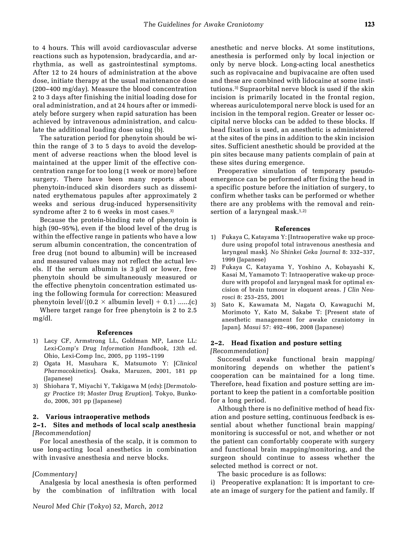to 4 hours. This will avoid cardiovascular adverse reactions such as hypotension, bradycardia, and arrhythmia, as well as gastrointestinal symptoms. After 12 to 24 hours of administration at the above dose, initiate therapy at the usual maintenance dose (200–400 mg/day). Measure the blood concentration 2 to 3 days after finishing the initial loading dose for oral administration, and at 24 hours after or immediately before surgery when rapid saturation has been achieved by intravenous administration, and calculate the additional loading dose using (b).

The saturation period for phenytoin should be within the range of 3 to 5 days to avoid the development of adverse reactions when the blood level is maintained at the upper limit of the effective concentration range for too long (1 week or more) before surgery. There have been many reports about phenytoin-induced skin disorders such as disseminated erythematous papules after approximately 2 weeks and serious drug-induced hypersensitivity syndrome after 2 to 6 weeks in most cases.<sup>3)</sup>

Because the protein-binding rate of phenytoin is high (90–95%), even if the blood level of the drug is within the effective range in patients who have a low serum albumin concentration, the concentration of free drug (not bound to albumin) will be increased and measured values may not reflect the actual levels. If the serum albumin is 3 g/dl or lower, free phenytoin should be simultaneously measured or the effective phenytoin concentration estimated using the following formula for correction: Measured phenytoin level/ $\{(0.2 \times \text{albumin level}) + 0.1\}$ .......(c)

Where target range for free phenytoin is 2 to 2.5 mg/dl.

#### References

- 1) Lacy CF, Armstrong LL, Goldman MP, Lance LL: Lexi-Comp's Drug Information Handbook, 13th ed. Ohio, Lexi-Comp Inc, 2005, pp 1195–1199
- 2) Ogata H, Masuhara K, Matsumoto Y: [Clinical Pharmacokinetics]. Osaka, Maruzen, 2001, 181 pp (Japanese)
- 3) Shiohara T, Miyachi Y, Takigawa M (eds): [Dermatology Practice 19; Master Drug Eruption]. Tokyo, Bunkodo, 2006, 301 pp (Japanese)

## 2. Various intraoperative methods

### 2–1. Sites and methods of local scalp anesthesia [Recommendation]

For local anesthesia of the scalp, it is common to use long-acting local anesthetics in combination with invasive anesthesia and nerve blocks.

#### [Commentary]

Analgesia by local anesthesia is often performed by the combination of infiltration with local anesthetic and nerve blocks. At some institutions, anesthesia is performed only by local injection or only by nerve block. Long-acting local anesthetics such as ropivacaine and bupivacaine are often used and these are combined with lidocaine at some institutions.3) Supraorbital nerve block is used if the skin incision is primarily located in the frontal region, whereas auriculotemporal nerve block is used for an incision in the temporal region. Greater or lesser occipital nerve blocks can be added to these blocks. If head fixation is used, an anesthetic is administered at the sites of the pins in addition to the skin incision sites. Sufficient anesthetic should be provided at the pin sites because many patients complain of pain at these sites during emergence.

Preoperative simulation of temporary pseudoemergence can be performed after fixing the head in a specific posture before the initiation of surgery, to confirm whether tasks can be performed or whether there are any problems with the removal and reinsertion of a laryngeal mask. $1,2)$ 

#### References

- 1) Fukaya C, Katayama Y: [Intraoperative wake up procedure using propofol total intravenous anesthesia and laryngeal mask]. No Shinkei Geka Journal 8: 332–337, 1999 (Japanese)
- 2) Fukaya C, Katayama Y, Yoshino A, Kobayashi K, Kasai M, Yamamoto T: Intraoperative wake-up procedure with propofol and laryngeal mask for optimal excision of brain tumour in eloquent areas. J Clin Neurosci 8: 253–255, 2001
- 3) Sato K, Kawamata M, Nagata O, Kawaguchi M, Morimoto Y, Kato M, Sakabe T: [Present state of anesthetic management for awake craniotomy in Japan]. Masui 57: 492–496, 2008 (Japanese)

#### 2–2. Head fixation and posture setting

[Recommendation]

Successful awake functional brain mapping/ monitoring depends on whether the patient's cooperation can be maintained for a long time. Therefore, head fixation and posture setting are important to keep the patient in a comfortable position for a long period.

Although there is no definitive method of head fixation and posture setting, continuous feedback is essential about whether functional brain mapping/ monitoring is successful or not, and whether or not the patient can comfortably cooperate with surgery and functional brain mapping/monitoring, and the surgeon should continue to assess whether the selected method is correct or not.

The basic procedure is as follows:

i) Preoperative explanation: It is important to create an image of surgery for the patient and family. If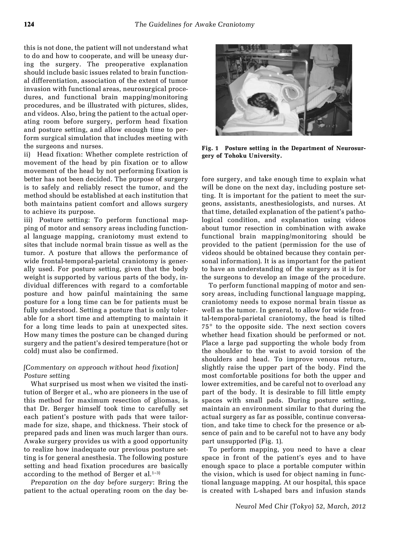this is not done, the patient will not understand what to do and how to cooperate, and will be uneasy during the surgery. The preoperative explanation should include basic issues related to brain functional differentiation, association of the extent of tumor invasion with functional areas, neurosurgical procedures, and functional brain mapping/monitoring procedures, and be illustrated with pictures, slides, and videos. Also, bring the patient to the actual operating room before surgery, perform head fixation and posture setting, and allow enough time to perform surgical simulation that includes meeting with the surgeons and nurses.

ii) Head fixation: Whether complete restriction of movement of the head by pin fixation or to allow movement of the head by not performing fixation is better has not been decided. The purpose of surgery is to safely and reliably resect the tumor, and the method should be established at each institution that both maintains patient comfort and allows surgery to achieve its purpose.

iii) Posture setting: To perform functional mapping of motor and sensory areas including functional language mapping, craniotomy must extend to sites that include normal brain tissue as well as the tumor. A posture that allows the performance of wide frontal-temporal-parietal craniotomy is generally used. For posture setting, given that the body weight is supported by various parts of the body, individual differences with regard to a comfortable posture and how painful maintaining the same posture for a long time can be for patients must be fully understood. Setting a posture that is only tolerable for a short time and attempting to maintain it for a long time leads to pain at unexpected sites. How many times the posture can be changed during surgery and the patient's desired temperature (hot or cold) must also be confirmed.

## [Commentary on approach without head fixation] Posture setting

What surprised us most when we visited the institution of Berger et al., who are pioneers in the use of this method for maximum resection of gliomas, is that Dr. Berger himself took time to carefully set each patient's posture with pads that were tailormade for size, shape, and thickness. Their stock of prepared pads and linen was much larger than ours. Awake surgery provides us with a good opportunity to realize how inadequate our previous posture setting is for general anesthesia. The following posture setting and head fixation procedures are basically according to the method of Berger et al. $1-3$ )

Preparation on the day before surgery: Bring the patient to the actual operating room on the day be-

Fig. 1 Posture setting in the Department of Neurosurgery of Tohoku University.

fore surgery, and take enough time to explain what will be done on the next day, including posture setting. It is important for the patient to meet the surgeons, assistants, anesthesiologists, and nurses. At that time, detailed explanation of the patient's pathological condition, and explanation using videos about tumor resection in combination with awake functional brain mapping/monitoring should be provided to the patient (permission for the use of videos should be obtained because they contain personal information). It is as important for the patient to have an understanding of the surgery as it is for the surgeons to develop an image of the procedure.

To perform functional mapping of motor and sensory areas, including functional language mapping, craniotomy needs to expose normal brain tissue as well as the tumor. In general, to allow for wide frontal-temporal-parietal craniotomy, the head is tilted  $75^{\circ}$  to the opposite side. The next section covers whether head fixation should be performed or not. Place a large pad supporting the whole body from the shoulder to the waist to avoid torsion of the shoulders and head. To improve venous return, slightly raise the upper part of the body. Find the most comfortable positions for both the upper and lower extremities, and be careful not to overload any part of the body. It is desirable to fill little empty spaces with small pads. During posture setting, maintain an environment similar to that during the actual surgery as far as possible, continue conversation, and take time to check for the presence or absence of pain and to be careful not to have any body part unsupported (Fig. 1).

To perform mapping, you need to have a clear space in front of the patient's eyes and to have enough space to place a portable computer within the vision, which is used for object naming in functional language mapping. At our hospital, this space is created with L-shaped bars and infusion stands



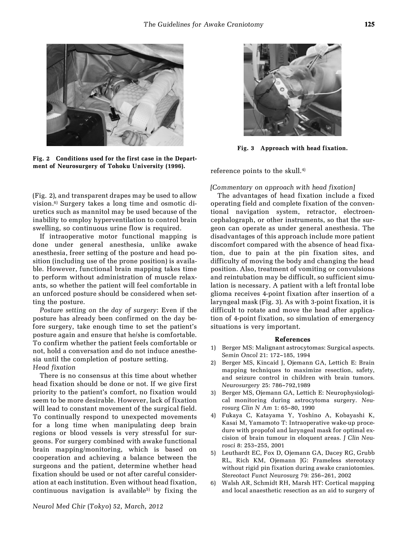

Fig. 2 Conditions used for the first case in the Department of Neurosurgery of Tohoku University (1996).

(Fig. 2), and transparent drapes may be used to allow vision.6) Surgery takes a long time and osmotic diuretics such as mannitol may be used because of the inability to employ hyperventilation to control brain swelling, so continuous urine flow is required.

If intraoperative motor functional mapping is done under general anesthesia, unlike awake anesthesia, freer setting of the posture and head position (including use of the prone position) is available. However, functional brain mapping takes time to perform without administration of muscle relaxants, so whether the patient will feel comfortable in an unforced posture should be considered when setting the posture.

Posture setting on the day of surgery: Even if the posture has already been confirmed on the day before surgery, take enough time to set the patient's posture again and ensure that he/she is comfortable. To confirm whether the patient feels comfortable or not, hold a conversation and do not induce anesthesia until the completion of posture setting. Head fixation

There is no consensus at this time about whether head fixation should be done or not. If we give first priority to the patient's comfort, no fixation would seem to be more desirable. However, lack of fixation will lead to constant movement of the surgical field. To continually respond to unexpected movements for a long time when manipulating deep brain regions or blood vessels is very stressful for surgeons. For surgery combined with awake functional brain mapping/monitoring, which is based on cooperation and achieving a balance between the surgeons and the patient, determine whether head fixation should be used or not after careful consideration at each institution. Even without head fixation, continuous navigation is available<sup>5)</sup> by fixing the



Fig. 3 Approach with head fixation.

reference points to the skull.4)

#### [Commentary on approach with head fixation]

The advantages of head fixation include a fixed operating field and complete fixation of the conventional navigation system, retractor, electroencephalograph, or other instruments, so that the surgeon can operate as under general anesthesia. The disadvantages of this approach include more patient discomfort compared with the absence of head fixation, due to pain at the pin fixation sites, and difficulty of moving the body and changing the head position. Also, treatment of vomiting or convulsions and reintubation may be difficult, so sufficient simulation is necessary. A patient with a left frontal lobe glioma receives 4-point fixation after insertion of a laryngeal mask (Fig. 3). As with 3-point fixation, it is difficult to rotate and move the head after application of 4-point fixation, so simulation of emergency situations is very important.

- 1) Berger MS: Malignant astrocytomas: Surgical aspects. Semin Oncol 21: 172–185, 1994
- 2) Berger MS, Kincaid J, Ojemann GA, Lettich E: Brain mapping techniques to maximize resection, safety, and seizure control in children with brain tumors. Neurosurgery 25: 786–792,1989
- 3) Berger MS, Ojemann GA, Lettich E: Neurophysiological monitoring during astrocytoma surgery. Neurosurg Clin N Am 1: 65–80, 1990
- 4) Fukaya C, Katayama Y, Yoshino A, Kobayashi K, Kasai M, Yamamoto T: Intraoperative wake-up procedure with propofol and laryngeal mask for optimal excision of brain tumour in eloquent areas. J Clin Neurosci 8: 253–255, 2001
- 5) Leuthardt EC, Fox D, Ojemann GA, Dacey RG, Grubb RL, Rich KM, Ojemann JG: Frameless stereotaxy without rigid pin fixation during awake craniotomies. Stereotact Funct Neurosurg 79: 256–261, 2002
- 6) Walsh AR, Schmidt RH, Marsh HT: Cortical mapping and local anaesthetic resection as an aid to surgery of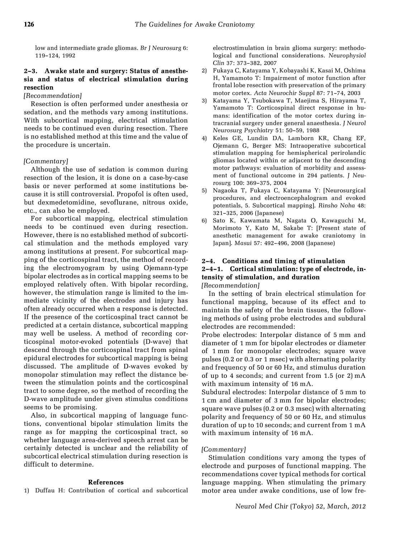low and intermediate grade gliomas. Br J Neurosurg 6: 119–124, 1992

## 2–3. Awake state and surgery: Status of anesthesia and status of electrical stimulation during resection

## [Recommendation]

Resection is often performed under anesthesia or sedation, and the methods vary among institutions. With subcortical mapping, electrical stimulation needs to be continued even during resection. There is no established method at this time and the value of the procedure is uncertain.

## [Commentary]

Although the use of sedation is common during resection of the lesion, it is done on a case-by-case basis or never performed at some institutions because it is still controversial. Propofol is often used, but dexmedetomidine, sevoflurane, nitrous oxide, etc., can also be employed.

For subcortical mapping, electrical stimulation needs to be continued even during resection. However, there is no established method of subcortical stimulation and the methods employed vary among institutions at present. For subcortical mapping of the corticospinal tract, the method of recording the electromyogram by using Ojemann-type bipolar electrodes as in cortical mapping seems to be employed relatively often. With bipolar recording, however, the stimulation range is limited to the immediate vicinity of the electrodes and injury has often already occurred when a response is detected. If the presence of the corticospinal tract cannot be predicted at a certain distance, subcortical mapping may well be useless. A method of recording corticospinal motor-evoked potentials (D-wave) that descend through the corticospinal tract from spinal epidural electrodes for subcortical mapping is being discussed. The amplitude of D-waves evoked by monopolar stimulation may reflect the distance between the stimulation points and the corticospinal tract to some degree, so the method of recording the D-wave amplitude under given stimulus conditions seems to be promising.

Also, in subcortical mapping of language functions, conventional bipolar stimulation limits the range as for mapping the corticospinal tract, so whether language area-derived speech arrest can be certainly detected is unclear and the reliability of subcortical electrical stimulation during resection is difficult to determine.

#### References

1) Duffau H: Contribution of cortical and subcortical

electrostimulation in brain glioma surgery: methodological and functional considerations. Neurophysiol Clin 37: 373–382, 2007

- 2) Fukaya C, Katayama Y, Kobayashi K, Kasai M, Oshima H, Yamamoto T: Impairment of motor function after frontal lobe resection with preservation of the primary motor cortex. Acta Neurochir Suppl 87: 71–74, 2003
- 3) Katayama Y, Tsubokawa T, Maejima S, Hirayama T, Yamamoto T: Corticospinal direct response in humans: identification of the motor cortex during intracranial surgery under general anaesthesia. J Neurol Neurosurg Psychiatry 51: 50–59, 1988
- 4) Keles GE, Lundin DA, Lamborn KR, Chang EF, Ojemann G, Berger MS: Intraoperative subcortical stimulation mapping for hemispherical perirolandic gliomas located within or adjacent to the descending motor pathways: evaluation of morbidity and assessment of functional outcome in 294 patients. J Neurosurg 100: 369–375, 2004
- 5) Nagaoka T, Fukaya C, Katayama Y: [Neurosurgical procedures, and electroencephalogram and evoked potentials, 5. Subcortical mapping]. Rinsho Noha 48: 321–325, 2006 (Japanese)
- 6) Sato K, Kawamata M, Nagata O, Kawaguchi M, Morimoto Y, Kato M, Sakabe T: [Present state of anesthetic management for awake craniotomy in Japan]. Masui 57: 492–496, 2008 (Japanese)

## 2–4. Conditions and timing of stimulation 2–4–1. Cortical stimulation: type of electrode, intensity of stimulation, and duration [Recommendation]

In the setting of brain electrical stimulation for functional mapping, because of its effect and to maintain the safety of the brain tissues, the following methods of using probe electrodes and subdural electrodes are recommended:

Probe electrodes: Interpolar distance of 5 mm and diameter of 1 mm for bipolar electrodes or diameter of 1 mm for monopolar electrodes; square wave pulses (0.2 or 0.3 or 1 msec) with alternating polarity and frequency of 50 or 60 Hz, and stimulus duration of up to 4 seconds; and current from 1.5 (or 2) mA with maximum intensity of 16 mA.

Subdural electrodes: Interpolar distance of 5 mm to 1 cm and diameter of 3 mm for bipolar electrodes; square wave pulses (0.2 or 0.3 msec) with alternating polarity and frequency of 50 or 60 Hz, and stimulus duration of up to 10 seconds; and current from 1 mA with maximum intensity of 16 mA.

## [Commentary]

Stimulation conditions vary among the types of electrode and purposes of functional mapping. The recommendations cover typical methods for cortical language mapping. When stimulating the primary motor area under awake conditions, use of low fre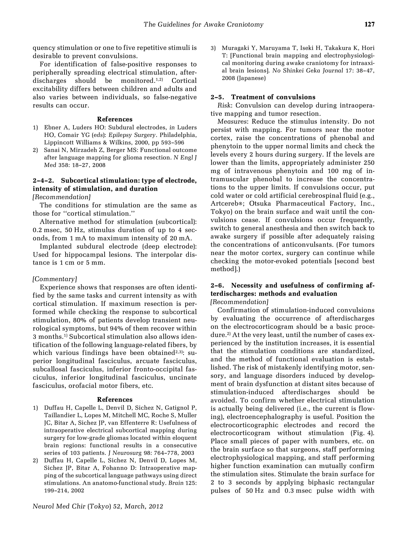quency stimulation or one to five repetitive stimuli is desirable to prevent convulsions.

For identification of false-positive responses to peripherally spreading electrical stimulation, afterdischarges should be monitored.1,2) Cortical excitability differs between children and adults and also varies between individuals, so false-negative results can occur.

#### References

- 1) Ebner A, Luders HO: Subdural electrodes, in Luders HO, Comair YG (eds): Epilepsy Surgery. Philadelphia, Lippincott Williams & Wilkins, 2000, pp 593–596
- 2) Sanai N, Mirzadeh Z, Berger MS: Functional outcome after language mapping for glioma resection. N Engl J Med 358: 18–27, 2008

## 2–4–2. Subcortical stimulation: type of electrode, intensity of stimulation, and duration

[Recommendation]

The conditions for stimulation are the same as those for "cortical stimulation."

Alternative method for stimulation (subcortical): 0.2 msec, 50 Hz, stimulus duration of up to 4 seconds, from 1 mA to maximum intensity of 20 mA.

Implanted subdural electrode (deep electrode): Used for hippocampal lesions. The interpolar distance is 1 cm or 5 mm.

#### [Commentary]

Experience shows that responses are often identified by the same tasks and current intensity as with cortical stimulation. If maximum resection is performed while checking the response to subcortical stimulation, 80% of patients develop transient neurological symptoms, but 94% of them recover within 3 months.1) Subcortical stimulation also allows identification of the following language-related fibers, by which various findings have been obtained<sup>2,3)</sup>: superior longitudinal fasciculus, arcuate fasciculus, subcallosal fasciculus, inferior fronto-occipital fasciculus, inferior longitudinal fasciculus, uncinate fasciculus, orofacial motor fibers, etc.

#### References

- 1) Duffau H, Capelle L, Denvil D, Sichez N, Gatignol P, Taillandier L, Lopes M, Mitchell MC, Roche S, Muller JC, Bitar A, Sichez JP, van Effenterre R: Usefulness of intraoperative electrical subcortical mapping during surgery for low-grade gliomas located within eloquent brain regions: functional results in a consecutive series of 103 patients. J Neurosurg 98: 764–778, 2003
- 2) Duffau H, Capelle L, Sichez N, Denvil D, Lopes M, Sichez JP, Bitar A, Fohanno D: Intraoperative mapping of the subcortical language pathways using direct stimulations. An anatomo-functional study. Brain 125: 199–214, 2002
- Neurol Med Chir (Tokyo) 52, March, 2012

3) Muragaki Y, Maruyama T, Iseki H, Takakura K, Hori T: [Functional brain mapping and electrophysiological monitoring during awake craniotomy for intraaxial brain lesions]. No Shinkei Geka Journal 17: 38–47, 2008 (Japanese)

#### 2–5. Treatment of convulsions

Risk: Convulsion can develop during intraoperative mapping and tumor resection.

Measures: Reduce the stimulus intensity. Do not persist with mapping. For tumors near the motor cortex, raise the concentrations of phenobal and phenytoin to the upper normal limits and check the levels every 2 hours during surgery. If the levels are lower than the limits, appropriately administer 250 mg of intravenous phenytoin and 100 mg of intramuscular phenobal to increase the concentrations to the upper limits. If convulsions occur, put cold water or cold artificial cerebrospinal fluid (e.g., Artcereb®; Otsuka Pharmaceutical Factory, Inc., Tokyo) on the brain surface and wait until the convulsions cease. If convulsions occur frequently, switch to general anesthesia and then switch back to awake surgery if possible after adequately raising the concentrations of anticonvulsants. (For tumors near the motor cortex, surgery can continue while checking the motor-evoked potentials [second best methodl.)

# 2–6. Necessity and usefulness of confirming afterdischarges: methods and evaluation

[Recommendation]

Confirmation of stimulation-induced convulsions by evaluating the occurrence of afterdischarges on the electrocorticogram should be a basic procedure.<sup>2)</sup> At the very least, until the number of cases experienced by the institution increases, it is essential that the stimulation conditions are standardized, and the method of functional evaluation is established. The risk of mistakenly identifying motor, sensory, and language disorders induced by development of brain dysfunction at distant sites because of stimulation-induced afterdischarges should be avoided. To confirm whether electrical stimulation is actually being delivered (i.e., the current is flowing), electroencephalography is useful. Position the electrocorticographic electrodes and record the electrocorticogram without stimulation (Fig. 4). Place small pieces of paper with numbers, etc. on the brain surface so that surgeons, staff performing electrophysiological mapping, and staff performing higher function examination can mutually confirm the stimulation sites. Stimulate the brain surface for 2 to 3 seconds by applying biphasic rectangular pulses of 50 Hz and 0.3 msec pulse width with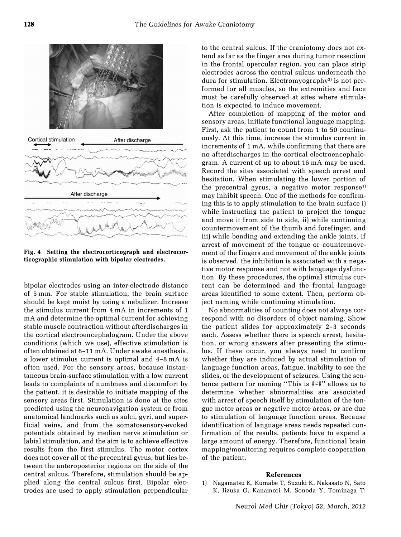

Fig. 4 Setting the electrocorticograph and electrocorticographic stimulation with bipolar electrodes.

bipolar electrodes using an inter-electrode distance of 5 mm. For stable stimulation, the brain surface should be kept moist by using a nebulizer. Increase the stimulus current from 4 mA in increments of 1 mA and determine the optimal current for achieving stable muscle contraction without afterdischarges in the cortical electroencephalogram. Under the above conditions (which we use), effective stimulation is often obtained at 8–11 mA. Under awake anesthesia, a lower stimulus current is optimal and 4–8 mA is often used. For the sensory areas, because instantaneous brain-surface stimulation with a low current leads to complaints of numbness and discomfort by the patient, it is desirable to initiate mapping of the sensory areas first. Stimulation is done at the sites predicted using the neuronavigation system or from anatomical landmarks such as sulci, gyri, and superficial veins, and from the somatosensory-evoked potentials obtained by median nerve stimulation or labial stimulation, and the aim is to achieve effective results from the first stimulus. The motor cortex does not cover all of the precentral gyrus, but lies between the anteroposterior regions on the side of the central sulcus. Therefore, stimulation should be applied along the central sulcus first. Bipolar electrodes are used to apply stimulation perpendicular to the central sulcus. If the craniotomy does not extend as far as the finger area during tumor resection in the frontal opercular region, you can place strip electrodes across the central sulcus underneath the dura for stimulation. Electromyography3) is not performed for all muscles, so the extremities and face must be carefully observed at sites where stimulation is expected to induce movement.

After completion of mapping of the motor and sensory areas, initiate functional language mapping. First, ask the patient to count from 1 to 50 continuously. At this time, increase the stimulus current in increments of 1 mA, while confirming that there are no afterdischarges in the cortical electroencephalogram. A current of up to about 16 mA may be used. Record the sites associated with speech arrest and hesitation. When stimulating the lower portion of the precentral gyrus, a negative motor response<sup>1)</sup> may inhibit speech. One of the methods for confirming this is to apply stimulation to the brain surface i) while instructing the patient to project the tongue and move it from side to side, ii) while continuing countermovement of the thumb and forefinger, and iii) while bending and extending the ankle joints. If arrest of movement of the tongue or countermovement of the fingers and movement of the ankle joints is observed, the inhibition is associated with a negative motor response and not with language dysfunction. By these procedures, the optimal stimulus current can be determined and the frontal language areas identified to some extent. Then, perform object naming while continuing stimulation.

No abnormalities of counting does not always correspond with no disorders of object naming. Show the patient slides for approximately 2–3 seconds each. Assess whether there is speech arrest, hesitation, or wrong answers after presenting the stimulus. If these occur, you always need to confirm whether they are induced by actual stimulation of language function areas, fatigue, inability to see the slides, or the development of seizures. Using the sentence pattern for naming "This is ###" allows us to determine whether abnormalities are associated with arrest of speech itself by stimulation of the tongue motor areas or negative motor areas, or are due to stimulation of language function areas. Because identification of language areas needs repeated confirmation of the results, patients have to expend a large amount of energy. Therefore, functional brain mapping/monitoring requires complete cooperation of the patient.

#### References

1) Nagamatsu K, Kumabe T, Suzuki K, Nakasato N, Sato K, Iizuka O, Kanamori M, Sonoda Y, Tominaga T: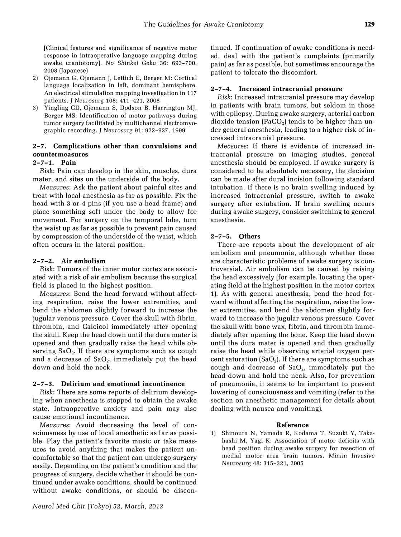[Clinical features and significance of negative motor response in intraoperative language mapping during awake craniotomy]. No Shinkei Geka 36: 693–700, 2008 (Japanese)

- 2) Ojemann G, Ojemann J, Lettich E, Berger M: Cortical language localization in left, dominant hemisphere. An electrical stimulation mapping investigation in 117 patients. J Neurosurg 108: 411–421, 2008
- 3) Yingling CD, Ojemann S, Dodson B, Harrington MJ, Berger MS: Identification of motor pathways during tumor surgery facilitated by multichannel electromyographic recording. J Neurosurg 91: 922–927, 1999

## 2–7. Complications other than convulsions and countermeasures

#### 2–7–1. Pain

Risk: Pain can develop in the skin, muscles, dura mater, and sites on the underside of the body.

Measures: Ask the patient about painful sites and treat with local anesthesia as far as possible. Fix the head with 3 or 4 pins (if you use a head frame) and place something soft under the body to allow for movement. For surgery on the temporal lobe, turn the waist up as far as possible to prevent pain caused by compression of the underside of the waist, which often occurs in the lateral position.

#### 2–7–2. Air embolism

Risk: Tumors of the inner motor cortex are associated with a risk of air embolism because the surgical field is placed in the highest position.

Measures: Bend the head forward without affecting respiration, raise the lower extremities, and bend the abdomen slightly forward to increase the jugular venous pressure. Cover the skull with fibrin, thrombin, and Calcicol immediately after opening the skull. Keep the head down until the dura mater is opened and then gradually raise the head while observing  $SaO<sub>2</sub>$ . If there are symptoms such as cough and a decrease of  $SaO<sub>2</sub>$ , immediately put the head down and hold the neck.

#### 2–7–3. Delirium and emotional incontinence

Risk: There are some reports of delirium developing when anesthesia is stopped to obtain the awake state. Intraoperative anxiety and pain may also cause emotional incontinence.

Measures: Avoid decreasing the level of consciousness by use of local anesthetic as far as possible. Play the patient's favorite music or take measures to avoid anything that makes the patient uncomfortable so that the patient can undergo surgery easily. Depending on the patient's condition and the progress of surgery, decide whether it should be continued under awake conditions, should be continued without awake conditions, or should be discontinued. If continuation of awake conditions is needed, deal with the patient's complaints (primarily pain) as far as possible, but sometimes encourage the patient to tolerate the discomfort.

#### 2–7–4. Increased intracranial pressure

Risk: Increased intracranial pressure may develop in patients with brain tumors, but seldom in those with epilepsy. During awake surgery, arterial carbon dioxide tension (PaCO<sub>2</sub>) tends to be higher than under general anesthesia, leading to a higher risk of increased intracranial pressure.

Measures: If there is evidence of increased intracranial pressure on imaging studies, general anesthesia should be employed. If awake surgery is considered to be absolutely necessary, the decision can be made after dural incision following standard intubation. If there is no brain swelling induced by increased intracranial pressure, switch to awake surgery after extubation. If brain swelling occurs during awake surgery, consider switching to general anesthesia.

#### 2–7–5. Others

There are reports about the development of air embolism and pneumonia, although whether these are characteristic problems of awake surgery is controversial. Air embolism can be caused by raising the head excessively (for example, locating the operating field at the highest position in the motor cortex 1). As with general anesthesia, bend the head forward without affecting the respiration, raise the lower extremities, and bend the abdomen slightly forward to increase the jugular venous pressure. Cover the skull with bone wax, fibrin, and thrombin immediately after opening the bone. Keep the head down until the dura mater is opened and then gradually raise the head while observing arterial oxygen percent saturation (SaO<sub>2</sub>). If there are symptoms such as cough and decrease of  $SaO<sub>2</sub>$ , immediately put the head down and hold the neck. Also, for prevention of pneumonia, it seems to be important to prevent lowering of consciousness and vomiting (refer to the section on anesthetic management for details about dealing with nausea and vomiting).

#### Reference

1) Shinoura N, Yamada R, Kodama T, Suzuki Y, Takahashi M, Yagi K: Association of motor deficits with head position during awake surgery for resection of medial motor area brain tumors. Minim Invasive Neurosurg 48: 315–321, 2005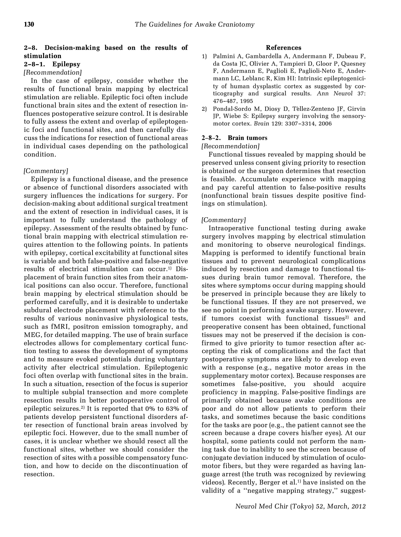## 2–8. Decision-making based on the results of stimulation

## 2–8–1. Epilepsy

## [Recommendation]

In the case of epilepsy, consider whether the results of functional brain mapping by electrical stimulation are reliable. Epileptic foci often include functional brain sites and the extent of resection influences postoperative seizure control. It is desirable to fully assess the extent and overlap of epileptogenic foci and functional sites, and then carefully discuss the indications for resection of functional areas in individual cases depending on the pathological condition.

## [Commentary]

Epilepsy is a functional disease, and the presence or absence of functional disorders associated with surgery influences the indications for surgery. For decision-making about additional surgical treatment and the extent of resection in individual cases, it is important to fully understand the pathology of epilepsy. Assessment of the results obtained by functional brain mapping with electrical stimulation requires attention to the following points. In patients with epilepsy, cortical excitability at functional sites is variable and both false-positive and false-negative results of electrical stimulation can occur.<sup>1)</sup> Displacement of brain function sites from their anatomical positions can also occur. Therefore, functional brain mapping by electrical stimulation should be performed carefully, and it is desirable to undertake subdural electrode placement with reference to the results of various noninvasive physiological tests, such as fMRI, positron emission tomography, and MEG, for detailed mapping. The use of brain surface electrodes allows for complementary cortical function testing to assess the development of symptoms and to measure evoked potentials during voluntary activity after electrical stimulation. Epileptogenic foci often overlap with functional sites in the brain. In such a situation, resection of the focus is superior to multiple subpial transection and more complete resection results in better postoperative control of epileptic seizures.<sup>2)</sup> It is reported that  $0\%$  to  $63\%$  of patients develop persistent functional disorders after resection of functional brain areas involved by epileptic foci. However, due to the small number of cases, it is unclear whether we should resect all the functional sites, whether we should consider the resection of sites with a possible compensatory function, and how to decide on the discontinuation of resection.

#### References

- 1) Palmini A, Gambardella A, Andermann F, Dubeau F, da Costa JC, Olivier A, Tampieri D, Gloor P, Quesney F, Andermann E, Paglioli E, Paglioli-Neto E, Andermann LC, Leblanc R, Kim HI: Intrinsic epileptogenicity of human dysplastic cortex as suggested by corticography and surgical results. Ann Neurol 37: 476–487, 1995
- 2) Pondal-Sordo M, Diosy D, Téllez-Zenteno JF, Girvin JP, Wiebe S: Epilepsy surgery involving the sensorymotor cortex. Brain 129: 3307–3314, 2006

## 2–8–2. Brain tumors

#### [Recommendation]

Functional tissues revealed by mapping should be preserved unless consent giving priority to resection is obtained or the surgeon determines that resection is feasible. Accumulate experience with mapping and pay careful attention to false-positive results (nonfunctional brain tissues despite positive findings on stimulation).

## [Commentary]

Intraoperative functional testing during awake surgery involves mapping by electrical stimulation and monitoring to observe neurological findings. Mapping is performed to identify functional brain tissues and to prevent neurological complications induced by resection and damage to functional tissues during brain tumor removal. Therefore, the sites where symptoms occur during mapping should be preserved in principle because they are likely to be functional tissues. If they are not preserved, we see no point in performing awake surgery. However, if tumors coexist with functional tissues<sup>2)</sup> and preoperative consent has been obtained, functional tissues may not be preserved if the decision is confirmed to give priority to tumor resection after accepting the risk of complications and the fact that postoperative symptoms are likely to develop even with a response (e.g., negative motor areas in the supplementary motor cortex). Because responses are sometimes false-positive, you should acquire proficiency in mapping. False-positive findings are primarily obtained because awake conditions are poor and do not allow patients to perform their tasks, and sometimes because the basic conditions for the tasks are poor (e.g., the patient cannot see the screen because a drape covers his/her eyes). At our hospital, some patients could not perform the naming task due to inability to see the screen because of conjugate deviation induced by stimulation of oculomotor fibers, but they were regarded as having language arrest (the truth was recognized by reviewing videos). Recently, Berger et al.<sup>1)</sup> have insisted on the validity of a "negative mapping strategy," suggest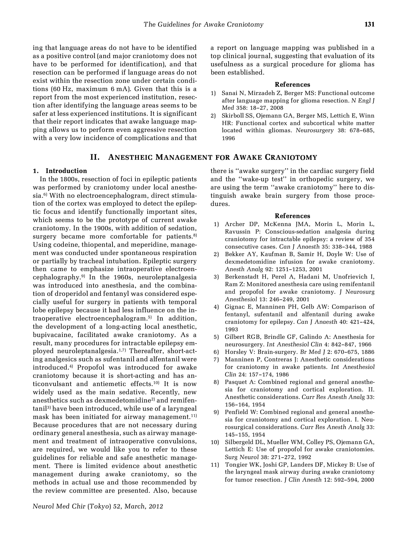ing that language areas do not have to be identified as a positive control (and major craniotomy does not have to be performed for identification), and that resection can be performed if language areas do not exist within the resection zone under certain conditions (60 Hz, maximum 6 mA). Given that this is a report from the most experienced institution, resection after identifying the language areas seems to be safer at less experienced institutions. It is significant that their report indicates that awake language mapping allows us to perform even aggressive resection with a very low incidence of complications and that

## II. ANESTHEIC MANAGEMENT FOR AWAKE CRANIOTOMY

## 1. Introduction

In the 1800s, resection of foci in epileptic patients was performed by craniotomy under local anesthesia.<sup>6)</sup> With no electroencephalogram, direct stimulation of the cortex was employed to detect the epileptic focus and identify functionally important sites, which seems to be the prototype of current awake craniotomy. In the 1900s, with addition of sedation, surgery became more comfortable for patients. $8$ Using codeine, thiopental, and meperidine, management was conducted under spontaneous respiration or partially by tracheal intubation. Epileptic surgery then came to emphasize intraoperative electroencephalography.9) In the 1960s, neuroleptanalgesia was introduced into anesthesia, and the combination of droperidol and fentanyl was considered especially useful for surgery in patients with temporal lobe epilepsy because it had less influence on the intraoperative electroencephalogram.5) In addition, the development of a long-acting local anesthetic, bupivacaine, facilitated awake craniotomy. As a result, many procedures for intractable epilepsy employed neuroleptanalgesia.1,7) Thereafter, short-acting analgesics such as sufentanil and alfentanil were introduced.4) Propofol was introduced for awake craniotomy because it is short-acting and has anticonvulsant and antiemetic effects.10) It is now widely used as the main sedative. Recently, new anesthetics such as dexmedetomidine<sup>2)</sup> and remifentanil3) have been introduced, while use of a laryngeal mask has been initiated for airway management.<sup>11)</sup> Because procedures that are not necessary during ordinary general anesthesia, such as airway management and treatment of intraoperative convulsions, are required, we would like you to refer to these guidelines for reliable and safe anesthetic management. There is limited evidence about anesthetic management during awake craniotomy, so the methods in actual use and those recommended by the review committee are presented. Also, because a report on language mapping was published in a top clinical journal, suggesting that evaluation of its usefulness as a surgical procedure for glioma has been established.

#### References

- 1) Sanai N, Mirzadeh Z, Berger MS: Functional outcome after language mapping for glioma resection. N Engl J Med 358: 18–27, 2008
- 2) Skirboll SS, Ojemann GA, Berger MS, Lettich E, Winn HR: Functional cortex and subcortical white matter located within gliomas. Neurosurgery 38: 678–685, 1996

there is "awake surgery" in the cardiac surgery field and the "wake-up test" in orthopedic surgery, we are using the term "awake craniotomy" here to distinguish awake brain surgery from those procedures.

- 1) Archer DP, McKenna JMA, Morin L, Morin L, Ravussin P: Conscious-sedation analgesia during craniotomy for intractable epilepsy: a review of 354 consecutive cases. Can J Anaesth 35: 338–344, 1988
- 2) Bekker AY, Kaufman B, Samir H, Doyle W: Use of dexmedetomidine infusion for awake craniotomy. Anesth Analg 92: 1251–1253, 2001
- 3) Berkenstadt H, Perel A, Hadani M, Unofrievich I, Ram Z: Monitored anesthesia care using remifentanil and propofol for awake craniotomy. J Neurosurg Anesthesiol 13: 246–249, 2001
- 4) Gignac E, Manninen PH, Gelb AW: Comparison of fentanyl, sufentanil and alfentanil during awake craniotomy for epilepsy. Can J Anaesth 40: 421–424, 1993
- 5) Gilbert RGB, Brindle GF, Galindo A: Anesthesia for neurosurgery. Int Anesthesiol Clin 4: 842–847, 1966
- 6) Horsley V: Brain-surgery. Br Med J 2: 670–675, 1886
- 7) Manninen P, Contreras J: Anesthetic considerations for craniotomy in awake patients. Int Anesthesiol Clin 24: 157–174, 1986
- 8) Pasquet A: Combined regional and general anesthesia for craniotomy and cortical exploration. II. Anesthetic considerations. Curr Res Anesth Analg 33: 156–164, 1954
- 9) Penfield W: Combined regional and general anesthesia for craniotomy and cortical exploration. I. Neurosurgical considerations. Curr Res Anesth Analg 33: 145–155, 1954
- 10) Silbergeld DL, Mueller WM, Colley PS, Ojemann GA, Lettich E: Use of propofol for awake craniotomies. Surg Neurol 38: 271–272, 1992
- 11) Tongier WK, Joshi GP, Landers DF, Mickey B: Use of the laryngeal mask airway during awake craniotomy for tumor resection. J Clin Anesth 12: 592–594, 2000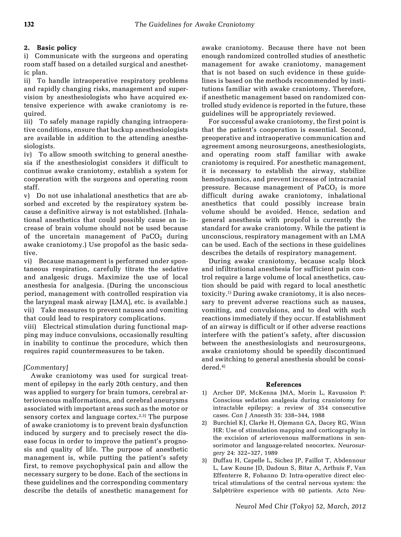## 2. Basic policy

i) Communicate with the surgeons and operating room staff based on a detailed surgical and anesthetic plan.

ii) To handle intraoperative respiratory problems and rapidly changing risks, management and supervision by anesthesiologists who have acquired extensive experience with awake craniotomy is required.

iii) To safely manage rapidly changing intraoperative conditions, ensure that backup anesthesiologists are available in addition to the attending anesthesiologists.

iv) To allow smooth switching to general anesthesia if the anesthesiologist considers it difficult to continue awake craniotomy, establish a system for cooperation with the surgeons and operating room staff.

v) Do not use inhalational anesthetics that are absorbed and excreted by the respiratory system because a definitive airway is not established. (Inhalational anesthetics that could possibly cause an increase of brain volume should not be used because of the uncertain management of  $PaCO<sub>2</sub>$  during awake craniotomy.) Use propofol as the basic sedative.

vi) Because management is performed under spontaneous respiration, carefully titrate the sedative and analgesic drugs. Maximize the use of local anesthesia for analgesia. (During the unconscious period, management with controlled respiration via the laryngeal mask airway [LMA], etc. is available.) vii) Take measures to prevent nausea and vomiting that could lead to respiratory complications.

viii) Electrical stimulation during functional mapping may induce convulsions, occasionally resulting in inability to continue the procedure, which then requires rapid countermeasures to be taken.

## [Commentary]

Awake craniotomy was used for surgical treatment of epilepsy in the early 20th century, and then was applied to surgery for brain tumors, cerebral arteriovenous malformations, and cerebral aneurysms associated with important areas such as the motor or sensory cortex and language cortex.<sup>2,3)</sup> The purpose of awake craniotomy is to prevent brain dysfunction induced by surgery and to precisely resect the disease focus in order to improve the patient's prognosis and quality of life. The purpose of anesthetic management is, while putting the patient's safety first, to remove psychophysical pain and allow the necessary surgery to be done. Each of the sections in these guidelines and the corresponding commentary describe the details of anesthetic management for awake craniotomy. Because there have not been enough randomized controlled studies of anesthetic management for awake craniotomy, management that is not based on such evidence in these guidelines is based on the methods recommended by institutions familiar with awake craniotomy. Therefore, if anesthetic management based on randomized controlled study evidence is reported in the future, these guidelines will be appropriately reviewed.

For successful awake craniotomy, the first point is that the patient's cooperation is essential. Second, preoperative and intraoperative communication and agreement among neurosurgeons, anesthesiologists, and operating room staff familiar with awake craniotomy is required. For anesthetic management, it is necessary to establish the airway, stabilize hemodynamics, and prevent increase of intracranial pressure. Because management of  $PaCO<sub>2</sub>$  is more difficult during awake craniotomy, inhalational anesthetics that could possibly increase brain volume should be avoided. Hence, sedation and general anesthesia with propofol is currently the standard for awake craniotomy. While the patient is unconscious, respiratory management with an LMA can be used. Each of the sections in these guidelines describes the details of respiratory management.

During awake craniotomy, because scalp block and infiltrational anesthesia for sufficient pain control require a large volume of local anesthetics, caution should be paid with regard to local anesthetic toxicity.1) During awake craniotomy, it is also necessary to prevent adverse reactions such as nausea, vomiting, and convulsions, and to deal with such reactions immediately if they occur. If establishment of an airway is difficult or if other adverse reactions interfere with the patient's safety, after discussion between the anesthesiologists and neurosurgeons, awake craniotomy should be speedily discontinued and switching to general anesthesia should be considered.4)

- 1) Archer DP, McKenna JMA, Morin L, Ravussion P: Conscious sedation analgesia during craniotomy for intractable epilepsy: a review of 354 consecutive cases. Can J Anaesth 35: 338–344, 1988
- 2) Burchiel KJ, Clarke H, Ojemann GA, Dacey RG, Winn HR: Use of stimulation mapping and corticography in the excision of arteriovenous malformations in sensorimotor and language-related neocortex. Neurosurgery 24: 322–327, 1989
- 3) Duffau H, Capelle L, Sichez JP, Faillot T, Abdennour L, Law Koune JD, Dadoun S, Bitar A, Arthuis F, Van Effenterre R, Fohanno D: Intra-operative direct electrical stimulations of the central nervous system: the Salpêtrière experience with 60 patients. Acta Neu-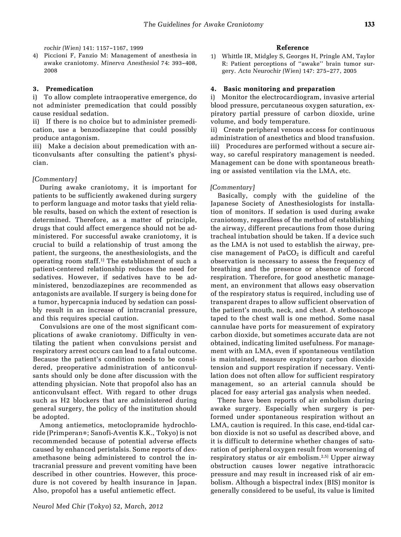4) Piccioni F, Fanzio M: Management of anesthesia in awake craniotomy. Minerva Anesthesiol 74: 393–408, 2008

#### 3. Premedication

i) To allow complete intraoperative emergence, do not administer premedication that could possibly cause residual sedation.

ii) If there is no choice but to administer premedication, use a benzodiazepine that could possibly produce antagonism.

iii) Make a decision about premedication with anticonvulsants after consulting the patient's physician.

#### [Commentary]

During awake craniotomy, it is important for patients to be sufficiently awakened during surgery to perform language and motor tasks that yield reliable results, based on which the extent of resection is determined. Therefore, as a matter of principle, drugs that could affect emergence should not be administered. For successful awake craniotomy, it is crucial to build a relationship of trust among the patient, the surgeons, the anesthesiologists, and the operating room staff.1) The establishment of such a patient-centered relationship reduces the need for sedatives. However, if sedatives have to be administered, benzodiazepines are recommended as antagonists are available. If surgery is being done for a tumor, hypercapnia induced by sedation can possibly result in an increase of intracranial pressure, and this requires special caution.

Convulsions are one of the most significant complications of awake craniotomy. Difficulty in ventilating the patient when convulsions persist and respiratory arrest occurs can lead to a fatal outcome. Because the patient's condition needs to be considered, preoperative administration of anticonvulsants should only be done after discussion with the attending physician. Note that propofol also has an anticonvulsant effect. With regard to other drugs such as H2 blockers that are administered during general surgery, the policy of the institution should be adopted.

Among antiemetics, metoclopramide hydrochloride (Primperan®; Sanofi-Aventis K.K., Tokyo) is not recommended because of potential adverse effects caused by enhanced peristalsis. Some reports of dexamethasone being administered to control the intracranial pressure and prevent vomiting have been described in other countries. However, this procedure is not covered by health insurance in Japan. Also, propofol has a useful antiemetic effect.

#### Reference

1) Whittle IR, Midgley S, Georges H, Pringle AM, Taylor R: Patient perceptions of "awake" brain tumor surgery. Acta Neurochir (Wien) 147: 275–277, 2005

#### 4. Basic monitoring and preparation

i) Monitor the electrocardiogram, invasive arterial blood pressure, percutaneous oxygen saturation, expiratory partial pressure of carbon dioxide, urine volume, and body temperature.

ii) Create peripheral venous access for continuous administration of anesthetics and blood transfusion. iii) Procedures are performed without a secure airway, so careful respiratory management is needed. Management can be done with spontaneous breathing or assisted ventilation via the LMA, etc.

#### [Commentary]

Basically, comply with the guideline of the Japanese Society of Anesthesiologists for installation of monitors. If sedation is used during awake craniotomy, regardless of the method of establishing the airway, different precautions from those during tracheal intubation should be taken. If a device such as the LMA is not used to establish the airway, precise management of  $PaCO<sub>2</sub>$  is difficult and careful observation is necessary to assess the frequency of breathing and the presence or absence of forced respiration. Therefore, for good anesthetic management, an environment that allows easy observation of the respiratory status is required, including use of transparent drapes to allow sufficient observation of the patient's mouth, neck, and chest. A stethoscope taped to the chest wall is one method. Some nasal cannulae have ports for measurement of expiratory carbon dioxide, but sometimes accurate data are not obtained, indicating limited usefulness. For management with an LMA, even if spontaneous ventilation is maintained, measure expiratory carbon dioxide tension and support respiration if necessary. Ventilation does not often allow for sufficient respiratory management, so an arterial cannula should be placed for easy arterial gas analysis when needed.

There have been reports of air embolism during awake surgery. Especially when surgery is performed under spontaneous respiration without an LMA, caution is required. In this case, end-tidal carbon dioxide is not so useful as described above, and it is difficult to determine whether changes of saturation of peripheral oxygen result from worsening of respiratory status or air embolism.2,5) Upper airway obstruction causes lower negative intrathoracic pressure and may result in increased risk of air embolism. Although a bispectral index (BIS) monitor is generally considered to be useful, its value is limited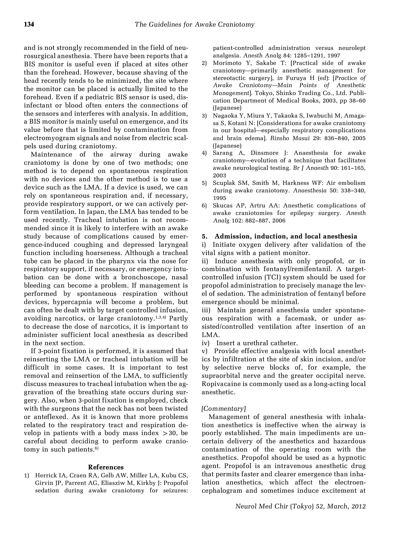and is not strongly recommended in the field of neurosurgical anesthesia. There have been reports that a BIS monitor is useful even if placed at sites other than the forehead. However, because shaving of the head recently tends to be minimized, the site where the monitor can be placed is actually limited to the forehead. Even if a pediatric BIS sensor is used, disinfectant or blood often enters the connections of the sensors and interferes with analysis. In addition, a BIS monitor is mainly useful on emergence, and its value before that is limited by contamination from electromyogram signals and noise from electric scalpels used during craniotomy.

Maintenance of the airway during awake craniotomy is done by one of two methods; one method is to depend on spontaneous respiration with no devices and the other method is to use a device such as the LMA. If a device is used, we can rely on spontaneous respiration and, if necessary, provide respiratory support, or we can actively perform ventilation. In Japan, the LMA has tended to be used recently. Tracheal intubation is not recommended since it is likely to interfere with an awake study because of complications caused by emergence-induced coughing and depressed laryngeal function including hoarseness. Although a tracheal tube can be placed in the pharynx via the nose for respiratory support, if necessary, or emergency intubation can be done with a bronchoscope, nasal bleeding can become a problem. If management is performed by spontaneous respiration without devices, hypercapnia will become a problem, but can often be dealt with by target controlled infusion, avoiding narcotics, or large craniotomy.<sup>1,3,4)</sup> Partly to decrease the dose of narcotics, it is important to administer sufficient local anesthesia as described in the next section.

If 3-point fixation is performed, it is assumed that reinserting the LMA or tracheal intubation will be difficult in some cases. It is important to test removal and reinsertion of the LMA, to sufficiently discuss measures to tracheal intubation when the aggravation of the breathing state occurs during surgery. Also, when 3-point fixation is employed, check with the surgeons that the neck has not been twisted or anteflexed. As it is known that more problems related to the respiratory tract and respiration develop in patients with a body mass index  $>$ 30, be careful about deciding to perform awake craniotomy in such patients.<sup>6)</sup>

#### References

1) Herrick IA, Craen RA, Gelb AW, Miller LA, Kubu CS, Girvin JP, Parrent AG, Eliasziw M, Kirkby J: Propofol sedation during awake craniotomy for seizures: patient-controlled administration versus neurolept analgesia. Anesth Analg 84: 1285–1291, 1997

- 2) Morimoto Y, Sakabe T: [Practical side of awake craniotomy—primarily anesthetic management for stereotactic surgery], in Furuya H (ed): [Practice of Awake Craniotomy—Main Points of Anesthetic Management]. Tokyo, Shinko Trading Co., Ltd. Publication Department of Medical Books, 2003, pp 38–60 (Japanese)
- 3) Nagaoka Y, Miura Y, Takaoka S, Iwabuchi M, Amagasa S, Kotani N: [Considerations for awake craniotomy in our hospital—especially respiratory complications and brain edema]. Rinsho Masui 29: 836–840, 2005 (Japanese)
- 4) Sarang A, Dinsmore J: Anaesthesia for awake craniotomy—evolution of a technique that facilitates awake neurological testing. Br J Anaesth 90: 161–165, 2003
- 5) Scuplak SM, Smith M, Harkness WF: Air embolism during awake craniotomy. Anaesthesia 50: 338–340, 1995
- 6) Skucas AP, Artru AA: Anesthetic complications of awake craniotomies for epilepsy surgery. Anesth Analg 102: 882–887, 2006

#### 5. Admission, induction, and local anesthesia

i) Initiate oxygen delivery after validation of the vital signs with a patient monitor.

ii) Induce anesthesia with only propofol, or in combination with fentanyl/remifentanil. A targetcontrolled infusion (TCI) system should be used for propofol administration to precisely manage the level of sedation. The administration of fentanyl before emergence should be minimal.

iii) Maintain general anesthesia under spontaneous respiration with a facemask, or under assisted/controlled ventilation after insertion of an LMA.

iv) Insert a urethral catheter.

v) Provide effective analgesia with local anesthetics by infiltration at the site of skin incision, and/or by selective nerve blocks of, for example, the supraorbital nerve and the greater occipital nerve. Ropivacaine is commonly used as a long-acting local anesthetic.

#### [Commentary]

Management of general anesthesia with inhalation anesthetics is ineffective when the airway is poorly established. The main impediments are uncertain delivery of the anesthetics and hazardous contamination of the operating room with the anesthetics. Propofol should be used as a hypnotic agent. Propofol is an intravenous anesthetic drug that permits faster and clearer emergence than inhalation anesthetics, which affect the electroencephalogram and sometimes induce excitement at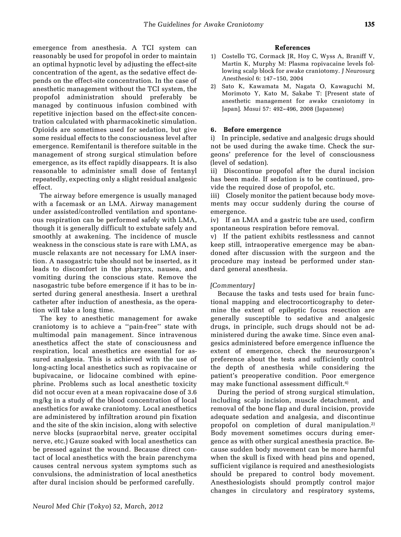emergence from anesthesia. A TCI system can reasonably be used for propofol in order to maintain an optimal hypnotic level by adjusting the effect-site concentration of the agent, as the sedative effect depends on the effect-site concentration. In the case of anesthetic management without the TCI system, the propofol administration should preferably be managed by continuous infusion combined with repetitive injection based on the effect-site concentration calculated with pharmacokinetic simulation. Opioids are sometimes used for sedation, but give some residual effects to the consciousness level after emergence. Remifentanil is therefore suitable in the management of strong surgical stimulation before emergence, as its effect rapidly disappears. It is also reasonable to administer small dose of fentanyl repeatedly, expecting only a slight residual analgesic effect.

The airway before emergence is usually managed with a facemask or an LMA. Airway management under assisted/controlled ventilation and spontaneous respiration can be performed safely with LMA, though it is generally difficult to extubate safely and smoothly at awakening. The incidence of muscle weakness in the conscious state is rare with LMA, as muscle relaxants are not necessary for LMA insertion. A nasogastric tube should not be inserted, as it leads to discomfort in the pharynx, nausea, and vomiting during the conscious state. Remove the nasogastric tube before emergence if it has to be inserted during general anesthesia. Insert a urethral catheter after induction of anesthesia, as the operation will take a long time.

The key to anesthetic management for awake craniotomy is to achieve a "pain-free" state with multimodal pain management. Since intravenous anesthetics affect the state of consciousness and respiration, local anesthetics are essential for assured analgesia. This is achieved with the use of long-acting local anesthetics such as ropivacaine or bupivacaine, or lidocaine combined with epinephrine. Problems such as local anesthetic toxicity did not occur even at a mean ropivacaine dose of 3.6 mg/kg in a study of the blood concentration of local anesthetics for awake craniotomy. Local anesthetics are administered by infiltration around pin fixation and the site of the skin incision, along with selective nerve blocks (supraorbital nerve, greater occipital nerve, etc.) Gauze soaked with local anesthetics can be pressed against the wound. Because direct contact of local anesthetics with the brain parenchyma causes central nervous system symptoms such as convulsions, the administration of local anesthetics after dural incision should be performed carefully.

## References

- 1) Costello TG, Cormack JR, Hoy C, Wyss A, Braniff V, Martin K, Murphy M: Plasma ropivacaine levels following scalp block for awake craniotomy. J Neurosurg Anesthesiol 6: 147–150, 2004
- 2) Sato K, Kawamata M, Nagata O, Kawaguchi M, Morimoto Y, Kato M, Sakabe T: [Present state of anesthetic management for awake craniotomy in Japan]. Masui 57: 492–496, 2008 (Japanese)

## 6. Before emergence

i) In principle, sedative and analgesic drugs should not be used during the awake time. Check the surgeons' preference for the level of consciousness (level of sedation).

ii) Discontinue propofol after the dural incision has been made. If sedation is to be continued, provide the required dose of propofol, etc.

iii) Closely monitor the patient because body movements may occur suddenly during the course of emergence.

iv) If an LMA and a gastric tube are used, confirm spontaneous respiration before removal.

v) If the patient exhibits restlessness and cannot keep still, intraoperative emergence may be abandoned after discussion with the surgeon and the procedure may instead be performed under standard general anesthesia.

## [Commentary]

Because the tasks and tests used for brain functional mapping and electrocorticography to determine the extent of epileptic focus resection are generally susceptible to sedative and analgesic drugs, in principle, such drugs should not be administered during the awake time. Since even analgesics administered before emergence influence the extent of emergence, check the neurosurgeon's preference about the tests and sufficiently control the depth of anesthesia while considering the patient's preoperative condition. Poor emergence may make functional assessment difficult.4)

During the period of strong surgical stimulation, including scalp incision, muscle detachment, and removal of the bone flap and dural incision, provide adequate sedation and analgesia, and discontinue propofol on completion of dural manipulation.<sup>2)</sup> Body movement sometimes occurs during emergence as with other surgical anesthesia practice. Because sudden body movement can be more harmful when the skull is fixed with head pins and opened, sufficient vigilance is required and anesthesiologists should be prepared to control body movement. Anesthesiologists should promptly control major changes in circulatory and respiratory systems,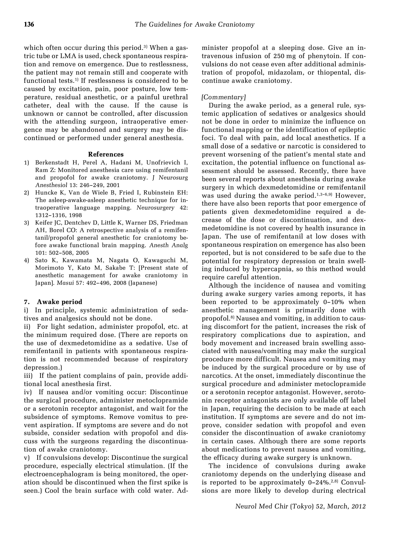which often occur during this period.<sup>3)</sup> When a gastric tube or LMA is used, check spontaneous respiration and remove on emergence. Due to restlessness, the patient may not remain still and cooperate with functional tests.1) If restlessness is considered to be caused by excitation, pain, poor posture, low temperature, residual anesthetic, or a painful urethral catheter, deal with the cause. If the cause is unknown or cannot be controlled, after discussion with the attending surgeon, intraoperative emergence may be abandoned and surgery may be discontinued or performed under general anesthesia.

#### References

- 1) Berkenstadt H, Perel A, Hadani M, Unofrievich I, Ram Z: Monitored anesthesia care using remifentanil and propofol for awake craniotomy. J Neurosurg Anesthesiol 13: 246–249, 2001
- 2) Huncke K, Van de Wiele B, Fried I, Rubinstein EH: The asleep-awake-asleep anesthetic technique for intraoperative language mapping. Neurosurgery 42: 1312–1316, 1998
- 3) Keifer JC, Dentchev D, Little K, Warner DS, Friedman AH, Borel CO: A retrospective analysis of a remifentanil/propofol general anesthetic for craniotomy before awake functional brain mapping. Anesth Analg 101: 502–508, 2005
- 4) Sato K, Kawamata M, Nagata O, Kawaguchi M, Morimoto Y, Kato M, Sakabe T: [Present state of anesthetic management for awake craniotomy in Japan]. Masui 57: 492–496, 2008 (Japanese)

## 7. Awake period

i) In principle, systemic administration of sedatives and analgesics should not be done.

ii) For light sedation, administer propofol, etc. at the minimum required dose. (There are reports on the use of dexmedetomidine as a sedative. Use of remifentanil in patients with spontaneous respiration is not recommended because of respiratory depression.)

iii) If the patient complains of pain, provide additional local anesthesia first.

iv) If nausea and/or vomiting occur: Discontinue the surgical procedure, administer metoclopramide or a serotonin receptor antagonist, and wait for the subsidence of symptoms. Remove vomitus to prevent aspiration. If symptoms are severe and do not subside, consider sedation with propofol and discuss with the surgeons regarding the discontinuation of awake craniotomy.

If convulsions develop: Discontinue the surgical procedure, especially electrical stimulation. (If the electroencephalogram is being monitored, the operation should be discontinued when the first spike is seen.) Cool the brain surface with cold water. Administer propofol at a sleeping dose. Give an intravenous infusion of 250 mg of phenytoin. If convulsions do not cease even after additional administration of propofol, midazolam, or thiopental, discontinue awake craniotomy.

## [Commentary]

During the awake period, as a general rule, systemic application of sedatives or analgesics should not be done in order to minimize the influence on functional mapping or the identification of epileptic foci. To deal with pain, add local anesthetics. If a small dose of a sedative or narcotic is considered to prevent worsening of the patient's mental state and excitation, the potential influence on functional assessment should be assessed. Recently, there have been several reports about anesthesia during awake surgery in which dexmedetomidine or remifentanil was used during the awake period.<sup>1,3-6,9)</sup> However, there have also been reports that poor emergence of patients given dexmedetomidine required a decrease of the dose or discontinuation, and dexmedetomidine is not covered by health insurance in Japan. The use of remifentanil at low doses with spontaneous respiration on emergence has also been reported, but is not considered to be safe due to the potential for respiratory depression or brain swelling induced by hypercapnia, so this method would require careful attention.

Although the incidence of nausea and vomiting during awake surgery varies among reports, it has been reported to be approximately 0–10% when anesthetic management is primarily done with propofol.8) Nausea and vomiting, in addition to causing discomfort for the patient, increases the risk of respiratory complications due to aspiration, and body movement and increased brain swelling associated with nausea/vomiting may make the surgical procedure more difficult. Nausea and vomiting may be induced by the surgical procedure or by use of narcotics. At the onset, immediately discontinue the surgical procedure and administer metoclopramide or a serotonin receptor antagonist. However, serotonin receptor antagonists are only available off label in Japan, requiring the decision to be made at each institution. If symptoms are severe and do not improve, consider sedation with propofol and even consider the discontinuation of awake craniotomy in certain cases. Although there are some reports about medications to prevent nausea and vomiting, the efficacy during awake surgery is unknown.

The incidence of convulsions during awake craniotomy depends on the underlying disease and is reported to be approximately  $0-24\%^{2,8}$  Convulsions are more likely to develop during electrical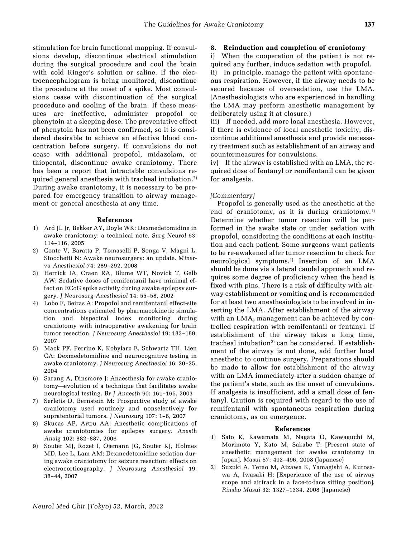stimulation for brain functional mapping. If convulsions develop, discontinue electrical stimulation during the surgical procedure and cool the brain with cold Ringer's solution or saline. If the electroencephalogram is being monitored, discontinue the procedure at the onset of a spike. Most convulsions cease with discontinuation of the surgical procedure and cooling of the brain. If these measures are ineffective, administer propofol or phenytoin at a sleeping dose. The preventative effect of phenytoin has not been confirmed, so it is considered desirable to achieve an effective blood concentration before surgery. If convulsions do not cease with additional propofol, midazolam, or thiopental, discontinue awake craniotomy. There has been a report that intractable convulsions required general anesthesia with tracheal intubation.<sup>7)</sup> During awake craniotomy, it is necessary to be prepared for emergency transition to airway management or general anesthesia at any time.

#### References

- 1) Ard JL Jr, Bekker AY, Doyle WK: Dexmedetomidine in awake craniotomy: a technical note. Surg Neurol 63: 114–116, 2005
- 2) Conte V, Baratta P, Tomaselli P, Songa V, Magni L, Stocchetti N: Awake neurosurgery: an update. Minerva Anesthesiol 74: 289–292, 2008
- 3) Herrick IA, Craen RA, Blume WT, Novick T, Gelb AW: Sedative doses of remifentanil have minimal effect on ECoG spike activity during awake epilepsy surgery. J Neurosurg Anesthesiol 14: 55–58, 2002
- 4) Lobo F, Beiras A: Propofol and remifentanil effect-site concentrations estimated by pharmacokinetic simulation and bispectral index monitoring during craniotomy with intraoperative awakening for brain tumor resection. J Neurosurg Anesthesiol 19: 183–189, 2007
- 5) Mack PF, Perrine K, Kobylarz E, Schwartz TH, Lien CA: Dexmedetomidine and neurocognitive testing in awake craniotomy. J Neurosurg Anesthesiol 16: 20–25, 2004
- 6) Sarang A, Dinsmore J: Anaesthesia for awake craniotomy—evolution of a technique that facilitates awake neurological testing. Br J Anaesth 90: 161–165, 2003
- 7) Serletis D, Bernstein M: Prospective study of awake craniotomy used routinely and nonselectively for supratentorial tumors. J Neurosurg 107: 1–6, 2007
- 8) Skucas AP, Artru AA: Anesthetic complications of awake craniotomies for epilepsy surgery. Anesth Analg 102: 882–887, 2006
- 9) Souter MJ, Rozet I, Ojemann JG, Souter KJ, Holmes MD, Lee L, Lam AM: Dexmedetomidine sedation during awake craniotomy for seizure resection: effects on electrocorticography. J Neurosurg Anesthesiol 19: 38–44, 2007

## 8. Reinduction and completion of craniotomy

i) When the cooperation of the patient is not required any further, induce sedation with propofol. ii) In principle, manage the patient with spontaneous respiration. However, if the airway needs to be secured because of oversedation, use the LMA. (Anesthesiologists who are experienced in handling the LMA may perform anesthetic management by deliberately using it at closure.)

iii) If needed, add more local anesthesia. However, if there is evidence of local anesthetic toxicity, discontinue additional anesthesia and provide necessary treatment such as establishment of an airway and countermeasures for convulsions.

iv) If the airway is established with an LMA, the required dose of fentanyl or remifentanil can be given for analgesia.

#### [Commentary]

Propofol is generally used as the anesthetic at the end of craniotomy, as it is during craniotomy.<sup>1)</sup> Determine whether tumor resection will be performed in the awake state or under sedation with propofol, considering the conditions at each institution and each patient. Some surgeons want patients to be re-awakened after tumor resection to check for neurological symptoms.1) Insertion of an LMA should be done via a lateral caudal approach and requires some degree of proficiency when the head is fixed with pins. There is a risk of difficulty with airway establishment or vomiting and is recommended for at least two anesthesiologists to be involved in inserting the LMA. After establishment of the airway with an LMA, management can be achieved by controlled respiration with remifentanil or fentanyl. If establishment of the airway takes a long time, tracheal intubation<sup>2)</sup> can be considered. If establishment of the airway is not done, add further local anesthetic to continue surgery. Preparations should be made to allow for establishment of the airway with an LMA immediately after a sudden change of the patient's state, such as the onset of convulsions. If analgesia is insufficient, add a small dose of fentanyl. Caution is required with regard to the use of remifentanil with spontaneous respiration during craniotomy, as on emergence.

- 1) Sato K, Kawamata M, Nagata O, Kawaguchi M, Morimoto Y, Kato M, Sakabe T: [Present state of anesthetic management for awake craniotomy in Japan]. Masui 57: 492–496, 2008 (Japanese)
- 2) Suzuki A, Terao M, Aizawa K, Yamagishi A, Kurosawa A, Iwasaki H: [Experience of the use of airway scope and airtrack in a face-to-face sitting position]. Rinsho Masui 32: 1327–1334, 2008 (Japanese)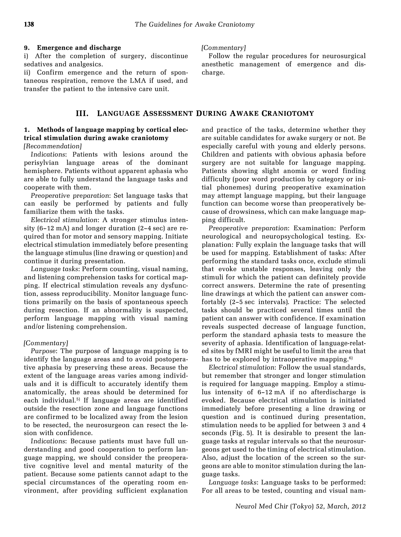## 9. Emergence and discharge

i) After the completion of surgery, discontinue sedatives and analgesics.

ii) Confirm emergence and the return of spontaneous respiration, remove the LMA if used, and transfer the patient to the intensive care unit.

## III. LANGUAGE ASSESSMENT DURING AWAKE CRANIOTOMY

#### 1. Methods of language mapping by cortical electrical stimulation during awake craniotomy [Recommendation]

Indications: Patients with lesions around the perisylvian language areas of the dominant hemisphere. Patients without apparent aphasia who are able to fully understand the language tasks and cooperate with them.

Preoperative preparation: Set language tasks that can easily be performed by patients and fully familiarize them with the tasks.

Electrical stimulation: A stronger stimulus intensity (6–12 mA) and longer duration (2–4 sec) are required than for motor and sensory mapping. Initiate electrical stimulation immediately before presenting the language stimulus (line drawing or question) and continue it during presentation.

Language tasks: Perform counting, visual naming, and listening comprehension tasks for cortical mapping. If electrical stimulation reveals any dysfunction, assess reproducibility. Monitor language functions primarily on the basis of spontaneous speech during resection. If an abnormality is suspected, perform language mapping with visual naming and/or listening comprehension.

## [Commentary]

Purpose: The purpose of language mapping is to identify the language areas and to avoid postoperative aphasia by preserving these areas. Because the extent of the language areas varies among individuals and it is difficult to accurately identify them anatomically, the areas should be determined for each individual.<sup>5)</sup> If language areas are identified outside the resection zone and language functions are confirmed to be localized away from the lesion to be resected, the neurosurgeon can resect the lesion with confidence.

Indications: Because patients must have full understanding and good cooperation to perform language mapping, we should consider the preoperative cognitive level and mental maturity of the patient. Because some patients cannot adapt to the special circumstances of the operating room environment, after providing sufficient explanation [Commentary]

Follow the regular procedures for neurosurgical anesthetic management of emergence and discharge.

# and practice of the tasks, determine whether they are suitable candidates for awake surgery or not. Be

especially careful with young and elderly persons. Children and patients with obvious aphasia before surgery are not suitable for language mapping. Patients showing slight anomia or word finding difficulty (poor word production by category or initial phonemes) during preoperative examination may attempt language mapping, but their language function can become worse than preoperatively because of drowsiness, which can make language mapping difficult.

Preoperative preparation: Examination: Perform neurological and neuropsychological testing. Explanation: Fully explain the language tasks that will be used for mapping. Establishment of tasks: After performing the standard tasks once, exclude stimuli that evoke unstable responses, leaving only the stimuli for which the patient can definitely provide correct answers. Determine the rate of presenting line drawings at which the patient can answer comfortably (2–5 sec intervals). Practice: The selected tasks should be practiced several times until the patient can answer with confidence. If examination reveals suspected decrease of language function, perform the standard aphasia tests to measure the severity of aphasia. Identification of language-related sites by fMRI might be useful to limit the area that has to be explored by intraoperative mapping.<sup>6)</sup>

Electrical stimulation: Follow the usual standards, but remember that stronger and longer stimulation is required for language mapping. Employ a stimulus intensity of 6–12 mA if no afterdischarge is evoked. Because electrical stimulation is initiated immediately before presenting a line drawing or question and is continued during presentation, stimulation needs to be applied for between 3 and 4 seconds (Fig. 5). It is desirable to present the language tasks at regular intervals so that the neurosurgeons get used to the timing of electrical stimulation. Also, adjust the location of the screen so the surgeons are able to monitor stimulation during the language tasks.

Language tasks: Language tasks to be performed: For all areas to be tested, counting and visual nam-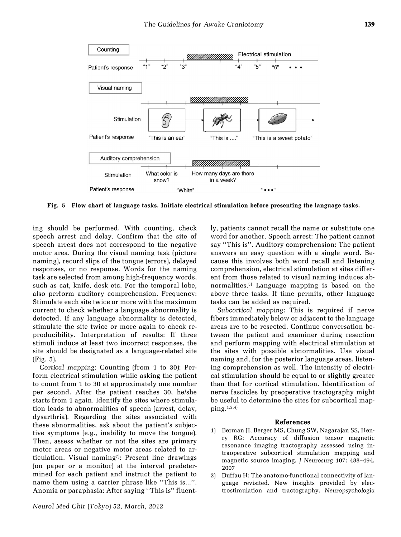

Fig. 5 Flow chart of language tasks. Initiate electrical stimulation before presenting the language tasks.

ing should be performed. With counting, check speech arrest and delay. Confirm that the site of speech arrest does not correspond to the negative motor area. During the visual naming task (picture naming), record slips of the tongue (errors), delayed responses, or no response. Words for the naming task are selected from among high-frequency words, such as cat, knife, desk etc. For the temporal lobe, also perform auditory comprehension. Frequency: Stimulate each site twice or more with the maximum current to check whether a language abnormality is detected. If any language abnormality is detected, stimulate the site twice or more again to check reproducibility. Interpretation of results: If three stimuli induce at least two incorrect responses, the site should be designated as a language-related site (Fig. 5).

Cortical mapping: Counting (from 1 to 30): Perform electrical stimulation while asking the patient to count from 1 to 30 at approximately one number per second. After the patient reaches 30, he/she starts from 1 again. Identify the sites where stimulation leads to abnormalities of speech (arrest, delay, dysarthria). Regarding the sites associated with these abnormalities, ask about the patient's subjective symptoms (e.g., inability to move the tongue). Then, assess whether or not the sites are primary motor areas or negative motor areas related to articulation. Visual naming<sup>7</sup>: Present line drawings (on paper or a monitor) at the interval predetermined for each patient and instruct the patient to name them using a carrier phrase like "This is...". Anomia or paraphasia: After saying "This is" fluently, patients cannot recall the name or substitute one word for another. Speech arrest: The patient cannot say "This is". Auditory comprehension: The patient answers an easy question with a single word. Because this involves both word recall and listening comprehension, electrical stimulation at sites different from those related to visual naming induces abnormalities.3) Language mapping is based on the above three tasks. If time permits, other language tasks can be added as required.

Subcortical mapping: This is required if nerve fibers immediately below or adjacent to the language areas are to be resected. Continue conversation between the patient and examiner during resection and perform mapping with electrical stimulation at the sites with possible abnormalities. Use visual naming and, for the posterior language areas, listening comprehension as well. The intensity of electrical stimulation should be equal to or slightly greater than that for cortical stimulation. Identification of nerve fascicles by preoperative tractography might be useful to determine the sites for subcortical map- $\pi^{1,2,4}$ 

- 1) Berman JI, Berger MS, Chung SW, Nagarajan SS, Henry RG: Accuracy of diffusion tensor magnetic resonance imaging tractography assessed using intraoperative subcortical stimulation mapping and magnetic source imaging. J Neurosurg 107: 488–494, 2007
- 2) Duffau H: The anatomo-functional connectivity of language revisited. New insights provided by electrostimulation and tractography. Neuropsychologia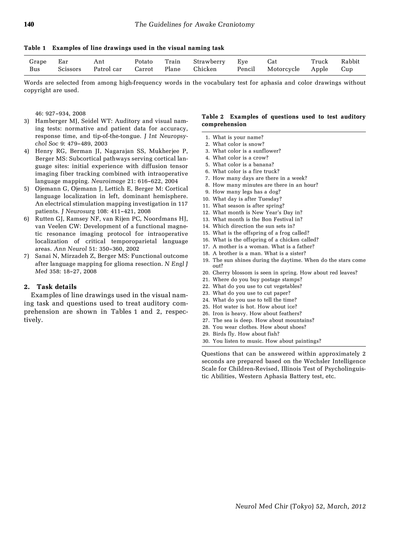Table 1 Examples of line drawings used in the visual naming task

| Grape | Ear      | Ant        | Potato | Train | Strawberry | Eve    | Cat        | Truck | Rabbit |
|-------|----------|------------|--------|-------|------------|--------|------------|-------|--------|
| Bus   | Scissors | Patrol car | Carrot | Plane | Chicken    | Pencil | Motorcycle | Apple | .up    |

Words are selected from among high-frequency words in the vocabulary test for aphasia and color drawings without copyright are used.

46: 927–934, 2008

- 3) Hamberger MJ, Seidel WT: Auditory and visual naming tests: normative and patient data for accuracy, response time, and tip-of-the-tongue. J Int Neuropsychol Soc 9: 479–489, 2003
- 4) Henry RG, Berman JI, Nagarajan SS, Mukherjee P, Berger MS: Subcortical pathways serving cortical language sites: initial experience with diffusion tensor imaging fiber tracking combined with intraoperative language mapping. Neuroimage 21: 616–622, 2004
- 5) Ojemann G, Ojemann J, Lettich E, Berger M: Cortical language localization in left, dominant hemisphere. An electrical stimulation mapping investigation in 117 patients. J Neurosurg 108: 411–421, 2008
- 6) Rutten GJ, Ramsey NF, van Rijen PC, Noordmans HJ, van Veelen CW: Development of a functional magnetic resonance imaging protocol for intraoperative localization of critical temporoparietal language areas. Ann Neurol 51: 350–360, 2002
- 7) Sanai N, Mirzadeh Z, Berger MS: Functional outcome after language mapping for glioma resection. N Engl J Med 358: 18–27, 2008

#### 2. Task details

Examples of line drawings used in the visual naming task and questions used to treat auditory comprehension are shown in Tables 1 and 2, respectively.

#### Table 2 Examples of questions used to test auditory comprehension

- 1. What is your name?
- 2. What color is snow?
- 3. What color is a sunflower?
- 4. What color is a crow?
- 5. What color is a banana?
- 6. What color is a fire truck?
- 7. How many days are there in a week?
- 8. How many minutes are there in an hour?
- 9. How many legs has a dog?
- 10. What day is after Tuesday?
- 11. What season is after spring?
- 12. What month is New Year's Day in?
- 13. What month is the Bon Festival in?
- 14. Which direction the sun sets in?
- 15. What is the offspring of a frog called?
- 16. What is the offspring of a chicken called?
- 17. A mother is a woman. What is a father?
- 18. A brother is a man. What is a sister?
- 19. The sun shines during the daytime. When do the stars come out?
- 20. Cherry blossom is seen in spring. How about red leaves?
- 21. Where do you buy postage stamps?
- 22. What do you use to cut vegetables?
- 23. What do you use to cut paper?
- 24. What do you use to tell the time?
- 25. Hot water is hot. How about ice?
- 26. Iron is heavy. How about feathers?
- 27. The sea is deep. How about mountains?
- 28. You wear clothes. How about shoes?
- 29. Birds fly. How about fish?
- 30. You listen to music. How about paintings?

Questions that can be answered within approximately 2 seconds are prepared based on the Wechsler Intelligence Scale for Children-Revised, Illinois Test of Psycholinguistic Abilities, Western Aphasia Battery test, etc.